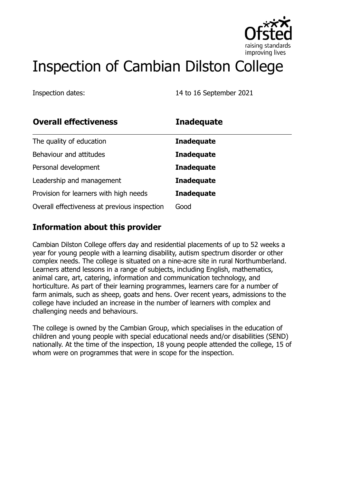

# Inspection of Cambian Dilston College

Inspection dates: 14 to 16 September 2021

| <b>Overall effectiveness</b>                 | <b>Inadequate</b> |
|----------------------------------------------|-------------------|
| The quality of education                     | <b>Inadequate</b> |
| Behaviour and attitudes                      | <b>Inadequate</b> |
| Personal development                         | <b>Inadequate</b> |
| Leadership and management                    | <b>Inadequate</b> |
| Provision for learners with high needs       | <b>Inadequate</b> |
| Overall effectiveness at previous inspection | Good              |

### **Information about this provider**

Cambian Dilston College offers day and residential placements of up to 52 weeks a year for young people with a learning disability, autism spectrum disorder or other complex needs. The college is situated on a nine-acre site in rural Northumberland. Learners attend lessons in a range of subjects, including English, mathematics, animal care, art, catering, information and communication technology, and horticulture. As part of their learning programmes, learners care for a number of farm animals, such as sheep, goats and hens. Over recent years, admissions to the college have included an increase in the number of learners with complex and challenging needs and behaviours.

The college is owned by the Cambian Group, which specialises in the education of children and young people with special educational needs and/or disabilities (SEND) nationally. At the time of the inspection, 18 young people attended the college, 15 of whom were on programmes that were in scope for the inspection.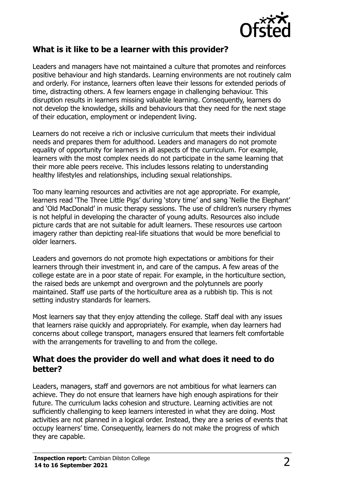

#### **What is it like to be a learner with this provider?**

Leaders and managers have not maintained a culture that promotes and reinforces positive behaviour and high standards. Learning environments are not routinely calm and orderly. For instance, learners often leave their lessons for extended periods of time, distracting others. A few learners engage in challenging behaviour. This disruption results in learners missing valuable learning. Consequently, learners do not develop the knowledge, skills and behaviours that they need for the next stage of their education, employment or independent living.

Learners do not receive a rich or inclusive curriculum that meets their individual needs and prepares them for adulthood. Leaders and managers do not promote equality of opportunity for learners in all aspects of the curriculum. For example, learners with the most complex needs do not participate in the same learning that their more able peers receive. This includes lessons relating to understanding healthy lifestyles and relationships, including sexual relationships.

Too many learning resources and activities are not age appropriate. For example, learners read 'The Three Little Pigs' during 'story time' and sang 'Nellie the Elephant' and 'Old MacDonald' in music therapy sessions. The use of children's nursery rhymes is not helpful in developing the character of young adults. Resources also include picture cards that are not suitable for adult learners. These resources use cartoon imagery rather than depicting real-life situations that would be more beneficial to older learners.

Leaders and governors do not promote high expectations or ambitions for their learners through their investment in, and care of the campus. A few areas of the college estate are in a poor state of repair. For example, in the horticulture section, the raised beds are unkempt and overgrown and the polytunnels are poorly maintained. Staff use parts of the horticulture area as a rubbish tip. This is not setting industry standards for learners.

Most learners say that they enjoy attending the college. Staff deal with any issues that learners raise quickly and appropriately. For example, when day learners had concerns about college transport, managers ensured that learners felt comfortable with the arrangements for travelling to and from the college.

#### **What does the provider do well and what does it need to do better?**

Leaders, managers, staff and governors are not ambitious for what learners can achieve. They do not ensure that learners have high enough aspirations for their future. The curriculum lacks cohesion and structure. Learning activities are not sufficiently challenging to keep learners interested in what they are doing. Most activities are not planned in a logical order. Instead, they are a series of events that occupy learners' time. Consequently, learners do not make the progress of which they are capable.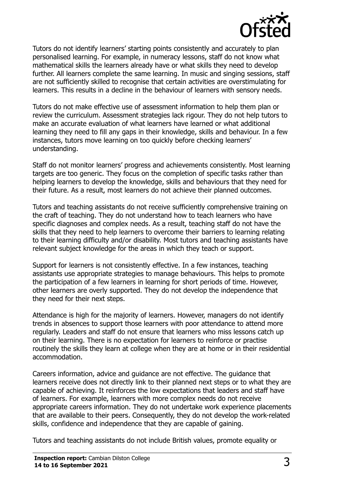

Tutors do not identify learners' starting points consistently and accurately to plan personalised learning. For example, in numeracy lessons, staff do not know what mathematical skills the learners already have or what skills they need to develop further. All learners complete the same learning. In music and singing sessions, staff are not sufficiently skilled to recognise that certain activities are overstimulating for learners. This results in a decline in the behaviour of learners with sensory needs.

Tutors do not make effective use of assessment information to help them plan or review the curriculum. Assessment strategies lack rigour. They do not help tutors to make an accurate evaluation of what learners have learned or what additional learning they need to fill any gaps in their knowledge, skills and behaviour. In a few instances, tutors move learning on too quickly before checking learners' understanding.

Staff do not monitor learners' progress and achievements consistently. Most learning targets are too generic. They focus on the completion of specific tasks rather than helping learners to develop the knowledge, skills and behaviours that they need for their future. As a result, most learners do not achieve their planned outcomes.

Tutors and teaching assistants do not receive sufficiently comprehensive training on the craft of teaching. They do not understand how to teach learners who have specific diagnoses and complex needs. As a result, teaching staff do not have the skills that they need to help learners to overcome their barriers to learning relating to their learning difficulty and/or disability. Most tutors and teaching assistants have relevant subject knowledge for the areas in which they teach or support.

Support for learners is not consistently effective. In a few instances, teaching assistants use appropriate strategies to manage behaviours. This helps to promote the participation of a few learners in learning for short periods of time. However, other learners are overly supported. They do not develop the independence that they need for their next steps.

Attendance is high for the majority of learners. However, managers do not identify trends in absences to support those learners with poor attendance to attend more regularly. Leaders and staff do not ensure that learners who miss lessons catch up on their learning. There is no expectation for learners to reinforce or practise routinely the skills they learn at college when they are at home or in their residential accommodation.

Careers information, advice and guidance are not effective. The guidance that learners receive does not directly link to their planned next steps or to what they are capable of achieving. It reinforces the low expectations that leaders and staff have of learners. For example, learners with more complex needs do not receive appropriate careers information. They do not undertake work experience placements that are available to their peers. Consequently, they do not develop the work-related skills, confidence and independence that they are capable of gaining.

Tutors and teaching assistants do not include British values, promote equality or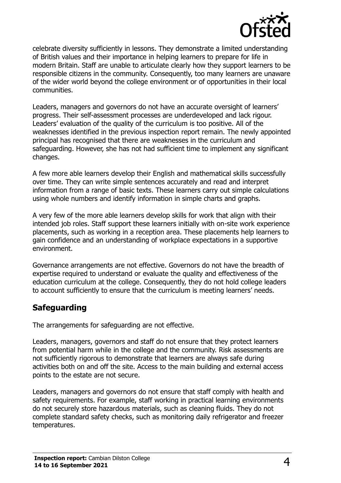

celebrate diversity sufficiently in lessons. They demonstrate a limited understanding of British values and their importance in helping learners to prepare for life in modern Britain. Staff are unable to articulate clearly how they support learners to be responsible citizens in the community. Consequently, too many learners are unaware of the wider world beyond the college environment or of opportunities in their local communities.

Leaders, managers and governors do not have an accurate oversight of learners' progress. Their self-assessment processes are underdeveloped and lack rigour. Leaders' evaluation of the quality of the curriculum is too positive. All of the weaknesses identified in the previous inspection report remain. The newly appointed principal has recognised that there are weaknesses in the curriculum and safeguarding. However, she has not had sufficient time to implement any significant changes.

A few more able learners develop their English and mathematical skills successfully over time. They can write simple sentences accurately and read and interpret information from a range of basic texts. These learners carry out simple calculations using whole numbers and identify information in simple charts and graphs.

A very few of the more able learners develop skills for work that align with their intended job roles. Staff support these learners initially with on-site work experience placements, such as working in a reception area. These placements help learners to gain confidence and an understanding of workplace expectations in a supportive environment.

Governance arrangements are not effective. Governors do not have the breadth of expertise required to understand or evaluate the quality and effectiveness of the education curriculum at the college. Consequently, they do not hold college leaders to account sufficiently to ensure that the curriculum is meeting learners' needs.

#### **Safeguarding**

The arrangements for safeguarding are not effective.

Leaders, managers, governors and staff do not ensure that they protect learners from potential harm while in the college and the community. Risk assessments are not sufficiently rigorous to demonstrate that learners are always safe during activities both on and off the site. Access to the main building and external access points to the estate are not secure.

Leaders, managers and governors do not ensure that staff comply with health and safety requirements. For example, staff working in practical learning environments do not securely store hazardous materials, such as cleaning fluids. They do not complete standard safety checks, such as monitoring daily refrigerator and freezer temperatures.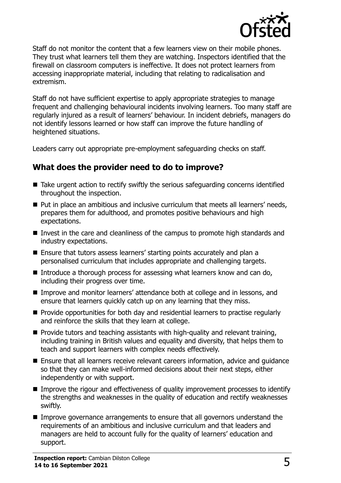

Staff do not monitor the content that a few learners view on their mobile phones. They trust what learners tell them they are watching. Inspectors identified that the firewall on classroom computers is ineffective. It does not protect learners from accessing inappropriate material, including that relating to radicalisation and extremism.

Staff do not have sufficient expertise to apply appropriate strategies to manage frequent and challenging behavioural incidents involving learners. Too many staff are regularly injured as a result of learners' behaviour. In incident debriefs, managers do not identify lessons learned or how staff can improve the future handling of heightened situations.

Leaders carry out appropriate pre-employment safeguarding checks on staff.

#### **What does the provider need to do to improve?**

- Take urgent action to rectify swiftly the serious safeguarding concerns identified throughout the inspection.
- Put in place an ambitious and inclusive curriculum that meets all learners' needs, prepares them for adulthood, and promotes positive behaviours and high expectations.
- Invest in the care and cleanliness of the campus to promote high standards and industry expectations.
- Ensure that tutors assess learners' starting points accurately and plan a personalised curriculum that includes appropriate and challenging targets.
- Introduce a thorough process for assessing what learners know and can do, including their progress over time.
- Improve and monitor learners' attendance both at college and in lessons, and ensure that learners quickly catch up on any learning that they miss.
- **Provide opportunities for both day and residential learners to practise regularly** and reinforce the skills that they learn at college.
- $\blacksquare$  Provide tutors and teaching assistants with high-quality and relevant training, including training in British values and equality and diversity, that helps them to teach and support learners with complex needs effectively.
- Ensure that all learners receive relevant careers information, advice and quidance so that they can make well-informed decisions about their next steps, either independently or with support.
- Improve the rigour and effectiveness of quality improvement processes to identify the strengths and weaknesses in the quality of education and rectify weaknesses swiftly.
- Improve governance arrangements to ensure that all governors understand the requirements of an ambitious and inclusive curriculum and that leaders and managers are held to account fully for the quality of learners' education and support.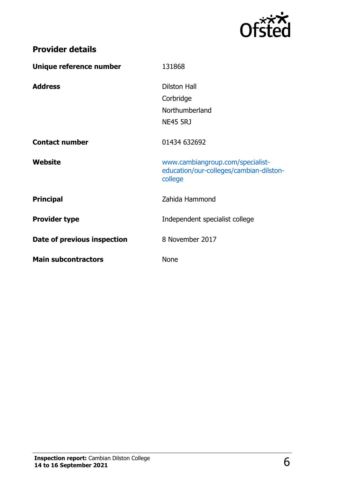

## **Provider details**

| Unique reference number     | 131868                                                                                 |
|-----------------------------|----------------------------------------------------------------------------------------|
| <b>Address</b>              | <b>Dilston Hall</b><br>Corbridge<br>Northumberland<br><b>NE45 5RJ</b>                  |
| <b>Contact number</b>       | 01434 632692                                                                           |
| Website                     | www.cambiangroup.com/specialist-<br>education/our-colleges/cambian-dilston-<br>college |
| <b>Principal</b>            | Zahida Hammond                                                                         |
| <b>Provider type</b>        | Independent specialist college                                                         |
| Date of previous inspection | 8 November 2017                                                                        |
| <b>Main subcontractors</b>  | <b>None</b>                                                                            |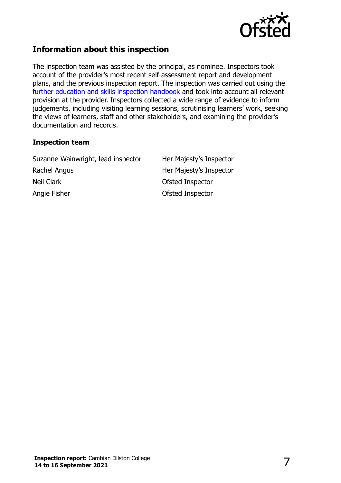

#### **Information about this inspection**

The inspection team was assisted by the principal, as nominee. Inspectors took account of the provider's most recent self-assessment report and development plans, and the previous inspection report. The inspection was carried out using the [further education and skills inspection handbook](http://www.gov.uk/government/publications/further-education-and-skills-inspection-handbook-eif) and took into account all relevant provision at the provider. Inspectors collected a wide range of evidence to inform judgements, including visiting learning sessions, scrutinising learners' work, seeking the views of learners, staff and other stakeholders, and examining the provider's documentation and records.

#### **Inspection team**

Suzanne Wainwright, lead inspector Her Majesty's Inspector Rachel Angus **Her Majesty's Inspector** Neil Clark **Neil Clark** Ofsted Inspector Angie Fisher **Contract Contract Contract Contract Contract Contract Contract Contract Contract Contract Contract Contract Contract Contract Contract Contract Contract Contract Contract Contract Contract Contract Contract C**